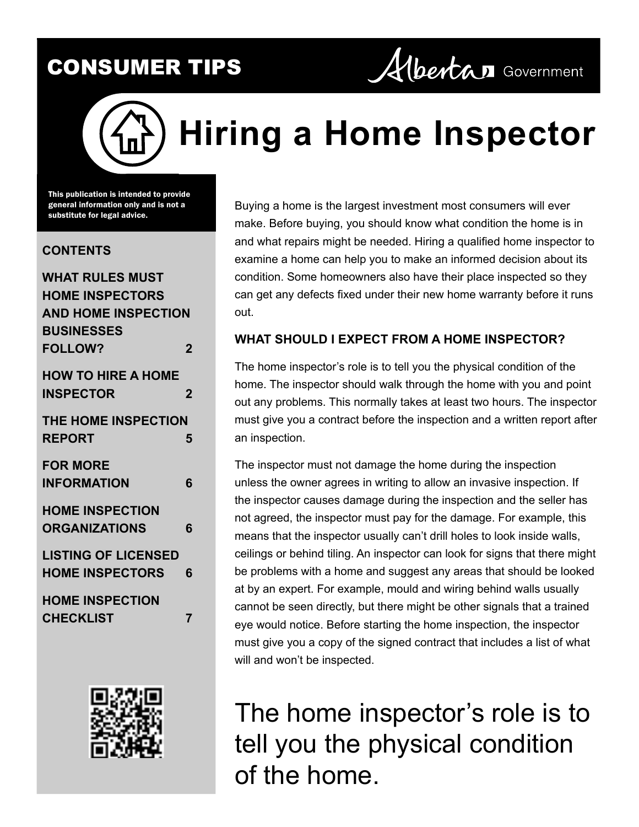

# **Hiring a Home Inspector**

This publication is intended to provide general information only and is not a substitute for legal advice.

#### **CONTENTS**

| WHAT RULES MUST            |   |
|----------------------------|---|
| <b>HOME INSPECTORS</b>     |   |
| <b>AND HOME INSPECTION</b> |   |
| <b>BUSINESSES</b>          |   |
| <b>FOLLOW?</b>             | 2 |
| <b>HOW TO HIRE A HOME</b>  |   |
| <b>INSPECTOR</b>           | 2 |
| <b>THE HOME INSPECTION</b> |   |
| <b>REPORT</b>              | 5 |
| <b>FOR MORE</b>            |   |
| INFORMATION                | 6 |
| <b>HOME INSPECTION</b>     |   |
| <b>ORGANIZATIONS</b>       | 6 |
| <b>LISTING OF LICENSED</b> |   |
| <b>HOME INSPECTORS</b>     | 6 |
| <b>HOME INSPECTION</b>     |   |
| <b>CHECKLIST</b>           | 7 |



Buying a home is the largest investment most consumers will ever make. Before buying, you should know what condition the home is in and what repairs might be needed. Hiring a qualified home inspector to examine a home can help you to make an informed decision about its condition. Some homeowners also have their place inspected so they can get any defects fixed under their new home warranty before it runs out.

#### **WHAT SHOULD I EXPECT FROM A HOME INSPECTOR?**

The home inspector's role is to tell you the physical condition of the home. The inspector should walk through the home with you and point out any problems. This normally takes at least two hours. The inspector must give you a contract before the inspection and a written report after an inspection.

The inspector must not damage the home during the inspection unless the owner agrees in writing to allow an invasive inspection. If the inspector causes damage during the inspection and the seller has not agreed, the inspector must pay for the damage. For example, this means that the inspector usually can't drill holes to look inside walls, ceilings or behind tiling. An inspector can look for signs that there might be problems with a home and suggest any areas that should be looked at by an expert. For example, mould and wiring behind walls usually cannot be seen directly, but there might be other signals that a trained eye would notice. Before starting the home inspection, the inspector must give you a copy of the signed contract that includes a list of what will and won't be inspected.

# The home inspector's role is to tell you the physical condition of the home.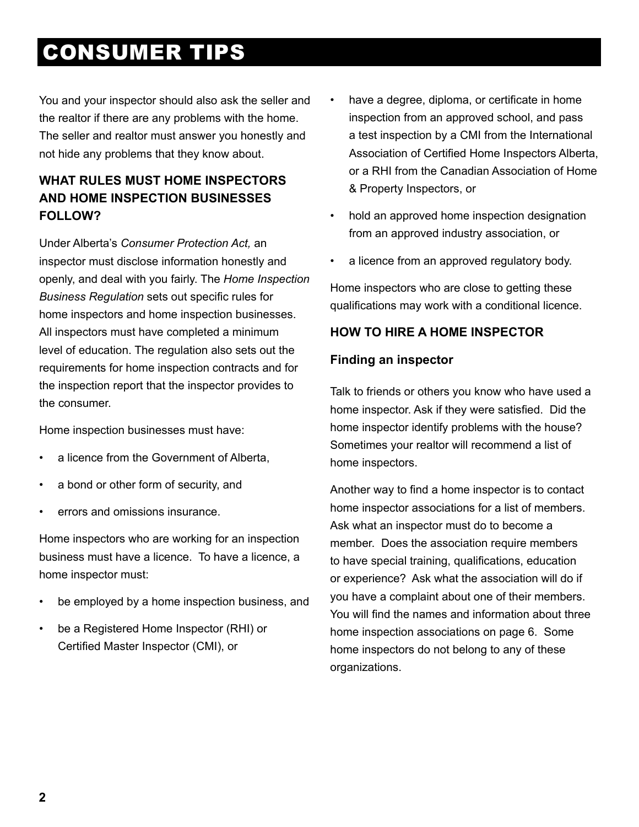<span id="page-1-0"></span>You and your inspector should also ask the seller and the realtor if there are any problems with the home. The seller and realtor must answer you honestly and not hide any problems that they know about.

#### **WHAT RULES MUST HOME INSPECTORS AND HOME INSPECTION BUSINESSES FOLLOW?**

Under Alberta's *Consumer Protection Act,* an inspector must disclose information honestly and openly, and deal with you fairly. The *Home Inspection Business Regulation* sets out specific rules for home inspectors and home inspection businesses. All inspectors must have completed a minimum level of education. The regulation also sets out the requirements for home inspection contracts and for the inspection report that the inspector provides to the consumer.

Home inspection businesses must have:

- a licence from the Government of Alberta,
- a bond or other form of security, and
- errors and omissions insurance.

Home inspectors who are working for an inspection business must have a licence. To have a licence, a home inspector must:

- be employed by a home inspection business, and
- be a Registered Home Inspector (RHI) or Certified Master Inspector (CMI), or
- have a degree, diploma, or certificate in home inspection from an approved school, and pass a test inspection by a CMI from the International Association of Certified Home Inspectors Alberta, or a RHI from the Canadian Association of Home & Property Inspectors, or
- hold an approved home inspection designation from an approved industry association, or
- a licence from an approved regulatory body.

Home inspectors who are close to getting these qualifications may work with a conditional licence.

#### **HOW TO HIRE A HOME INSPECTOR**

#### **Finding an inspector**

Talk to friends or others you know who have used a home inspector. Ask if they were satisfied. Did the home inspector identify problems with the house? Sometimes your realtor will recommend a list of home inspectors.

Another way to find a home inspector is to contact home inspector associations for a list of members. Ask what an inspector must do to become a member. Does the association require members to have special training, qualifications, education or experience? Ask what the association will do if you have a complaint about one of their members. You will find the names and information about three home inspection associations on page 6. Some home inspectors do not belong to any of these organizations.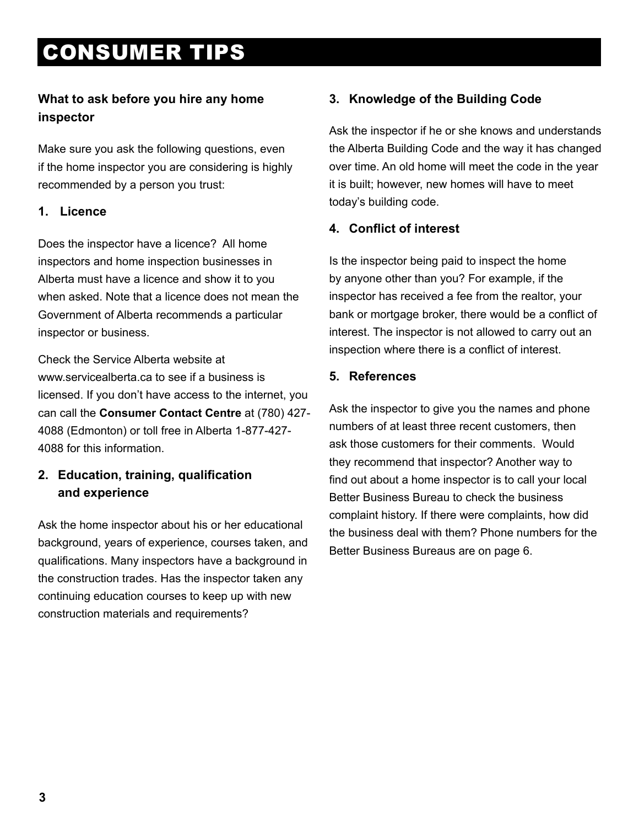#### **What to ask before you hire any home inspector**

Make sure you ask the following questions, even if the home inspector you are considering is highly recommended by a person you trust:

#### **1. Licence**

Does the inspector have a licence? All home inspectors and home inspection businesses in Alberta must have a licence and show it to you when asked. Note that a licence does not mean the Government of Alberta recommends a particular inspector or business.

Check the Service Alberta website at www.servicealberta.ca to see if a business is licensed. If you don't have access to the internet, you can call the **Consumer Contact Centre** at (780) 427- 4088 (Edmonton) or toll free in Alberta 1-877-427- 4088 for this information.

#### **2. Education, training, qualification and experience**

Ask the home inspector about his or her educational background, years of experience, courses taken, and qualifications. Many inspectors have a background in the construction trades. Has the inspector taken any continuing education courses to keep up with new construction materials and requirements?

#### **3. Knowledge of the Building Code**

Ask the inspector if he or she knows and understands the Alberta Building Code and the way it has changed over time. An old home will meet the code in the year it is built; however, new homes will have to meet today's building code.

#### **4. Conflict of interest**

Is the inspector being paid to inspect the home by anyone other than you? For example, if the inspector has received a fee from the realtor, your bank or mortgage broker, there would be a conflict of interest. The inspector is not allowed to carry out an inspection where there is a conflict of interest.

#### **5. References**

Ask the inspector to give you the names and phone numbers of at least three recent customers, then ask those customers for their comments. Would they recommend that inspector? Another way to find out about a home inspector is to call your local Better Business Bureau to check the business complaint history. If there were complaints, how did the business deal with them? Phone numbers for the Better Business Bureaus are on page 6.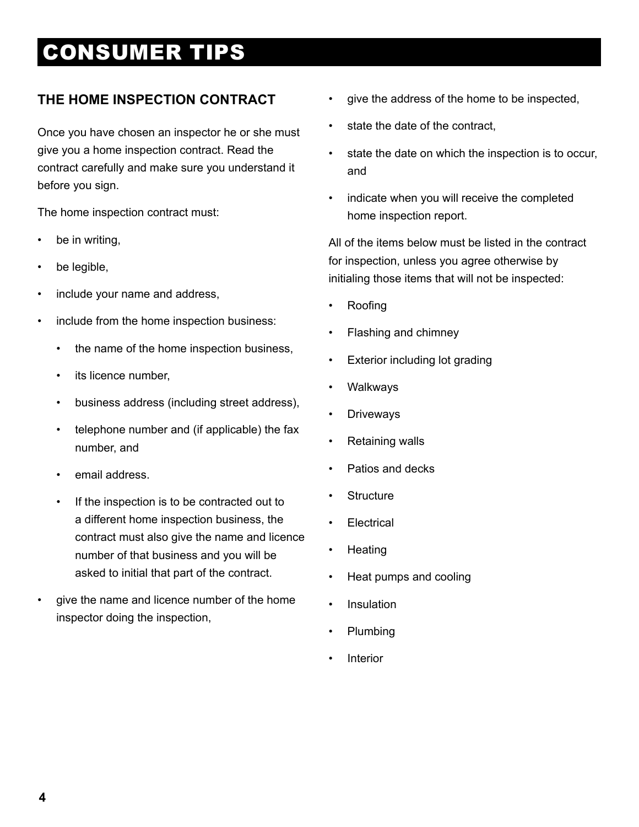#### **THE HOME INSPECTION CONTRACT**

Once you have chosen an inspector he or she must give you a home inspection contract. Read the contract carefully and make sure you understand it before you sign.

The home inspection contract must:

- be in writing,
- be legible,
- include your name and address,
- include from the home inspection business:
	- the name of the home inspection business,
	- its licence number,
	- business address (including street address),
	- telephone number and (if applicable) the fax number, and
	- email address.
	- If the inspection is to be contracted out to a different home inspection business, the contract must also give the name and licence number of that business and you will be asked to initial that part of the contract.
- give the name and licence number of the home inspector doing the inspection,
- give the address of the home to be inspected,
- state the date of the contract,
- state the date on which the inspection is to occur, and
- indicate when you will receive the completed home inspection report.

All of the items below must be listed in the contract for inspection, unless you agree otherwise by initialing those items that will not be inspected:

- Roofing
- Flashing and chimney
- Exterior including lot grading
- **Walkways**
- **Driveways**
- Retaining walls
- Patios and decks
- **Structure**
- **Electrical**
- **Heating**
- Heat pumps and cooling
- **Insulation**
- Plumbing
- **Interior**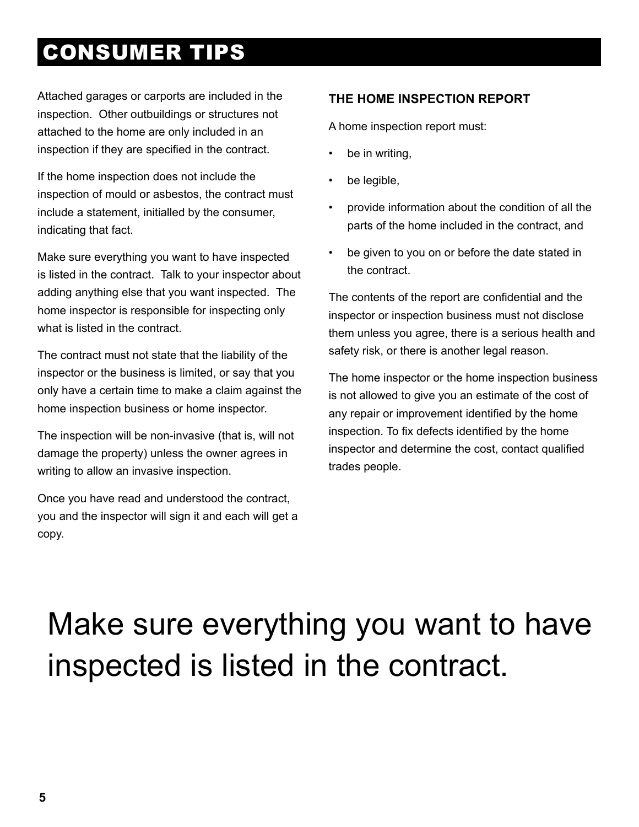<span id="page-4-0"></span>Attached garages or carports are included in the inspection. Other outbuildings or structures not attached to the home are only included in an inspection if they are specified in the contract.

If the home inspection does not include the inspection of mould or asbestos, the contract must include a statement, initialled by the consumer, indicating that fact.

Make sure everything you want to have inspected is listed in the contract. Talk to your inspector about adding anything else that you want inspected. The home inspector is responsible for inspecting only what is listed in the contract.

The contract must not state that the liability of the inspector or the business is limited, or say that you only have a certain time to make a claim against the home inspection business or home inspector.

The inspection will be non-invasive (that is, will not damage the property) unless the owner agrees in writing to allow an invasive inspection.

Once you have read and understood the contract, you and the inspector will sign it and each will get a copy.

#### **THE HOME INSPECTION REPORT**

A home inspection report must:

- be in writing,
- be legible,
- provide information about the condition of all the parts of the home included in the contract, and
- be given to you on or before the date stated in the contract.

The contents of the report are confidential and the inspector or inspection business must not disclose them unless you agree, there is a serious health and safety risk, or there is another legal reason.

The home inspector or the home inspection business is not allowed to give you an estimate of the cost of any repair or improvement identified by the home inspection. To fix defects identified by the home inspector and determine the cost, contact qualified trades people.

# Make sure everything you want to have inspected is listed in the contract.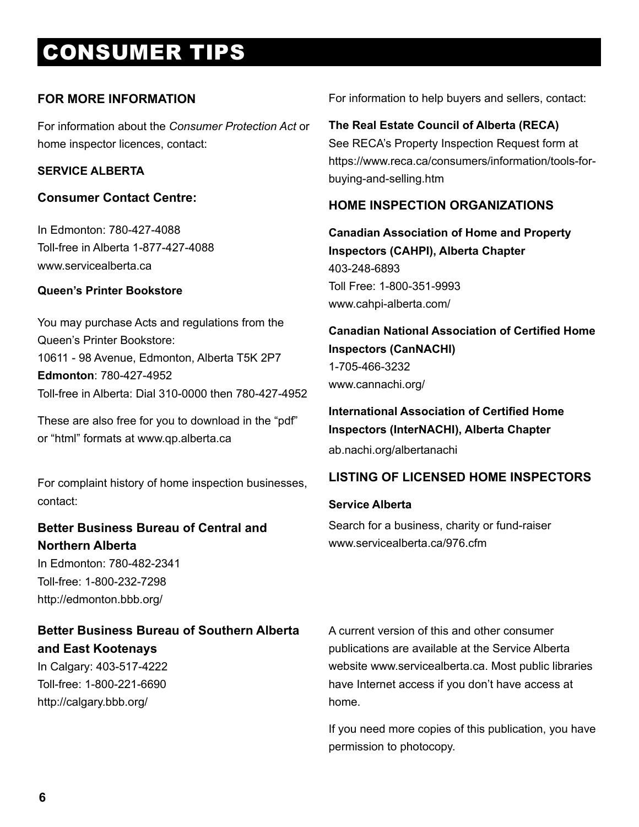#### <span id="page-5-0"></span>**FOR MORE INFORMATION**

For information about the *Consumer Protection Act* or home inspector licences, contact:

#### **SERVICE ALBERTA**

#### **Consumer Contact Centre:**

In Edmonton: [780-427-4088](tel:18774274088) Toll-free in Alberta 1-877-427-4088 [www.servicealberta.ca](http://www.servicealberta.ca/ConsumerTipsheets.cfm)

#### **Queen's Printer Bookstore**

You may purchase Acts and regulations from the Queen's Printer Bookstore: 10611 - 98 Avenue, Edmonton, Alberta T5K 2P7 **Edmonton**: 780-427-4952 Toll-free in Alberta: Dial 310-0000 then 780-427-4952

These are also free for you to download in the "pdf" or "html" formats at [www.qp.alberta.ca](http://www.qp.alberta.ca)

For complaint history of home inspection businesses, contact:

#### **Better Business Bureau of Central and Northern Alberta**

In Edmonton: 780-482-2341 Toll-free: 1-800-232-7298 <http://edmonton.bbb.org/>

#### **Better Business Bureau of Southern Alberta and East Kootenays**

In Calgary: 403-517-4222 Toll-free: 1-800-221-6690 <http://calgary.bbb.org/>

For information to help buyers and sellers, contact:

#### **The Real Estate Council of Alberta (RECA)** See RECA's Property Inspection Request form at [https://www.reca.ca/consumers/information/tools-for](https://www.reca.ca/consumers/information/tools-for-buying-and-selling.htm)[buying-and-selling.htm](https://www.reca.ca/consumers/information/tools-for-buying-and-selling.htm)

#### **HOME INSPECTION ORGANIZATIONS**

**Canadian Association of Home and Property Inspectors (CAHPI), Alberta Chapter** 403-248-6893 Toll Free: 1-800-351-9993 [www.cahpi-alberta.com/](http://www.cahpi-alberta.com/)

**Canadian National Association of Certified Home Inspectors (CanNACHI)** 1-705-466-3232 [www.cannachi.org/](http://www.cannachi.org/)

#### **International Association of Certified Home Inspectors (InterNACHI), Alberta Chapter**

[ab.nachi.org/albertanachi](http://ab.nachi.org/albertanachi/about.html 1)

#### **LISTING OF LICENSED HOME INSPECTORS**

#### **Service Alberta**

Search for a business, charity or fund-raiser [www.servicealberta.ca/976.cfm](http://www.servicealberta.ca/976.cfm)

A current version of this and other consumer publications are available at the Service Alberta website www.servicealberta.ca. Most public libraries have Internet access if you don't have access at home.

If you need more copies of this publication, you have permission to photocopy.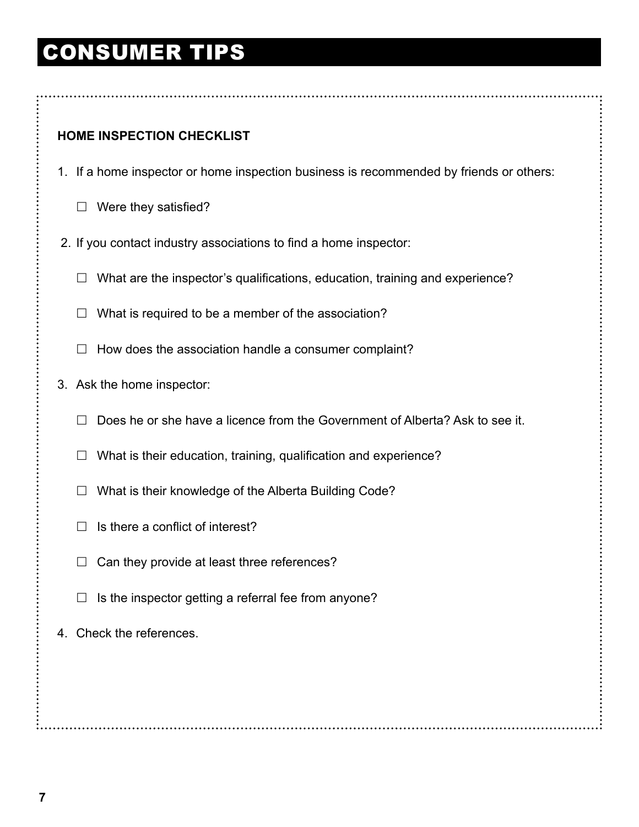#### <span id="page-6-0"></span>**HOME INSPECTION CHECKLIST**

- 1. If a home inspector or home inspection business is recommended by friends or others:
	- $\Box$  Were they satisfied?
- 2. If you contact industry associations to find a home inspector:
	- $\Box$  What are the inspector's qualifications, education, training and experience?
	- $\Box$  What is required to be a member of the association?
	- $\Box$  How does the association handle a consumer complaint?
- 3. Ask the home inspector:
	- $\Box$  Does he or she have a licence from the Government of Alberta? Ask to see it.
	- $\Box$  What is their education, training, qualification and experience?
	- $\Box$  What is their knowledge of the Alberta Building Code?
	- $\Box$  Is there a conflict of interest?
	- $\Box$  Can they provide at least three references?
	- $\Box$  Is the inspector getting a referral fee from anyone?
- 4. Check the references.